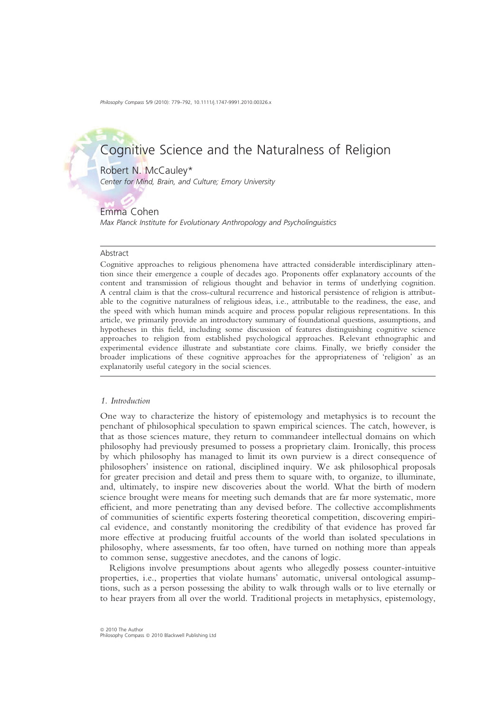Philosophy Compass 5/9 (2010): 779–792, 10.1111/j.1747-9991.2010.00326.x

# Cognitive Science and the Naturalness of Religion

Robert N. McCauley\*

Center for Mind, Brain, and Culture; Emory University

# Emma Cohen

Max Planck Institute for Evolutionary Anthropology and Psycholinguistics

## Abstract

Cognitive approaches to religious phenomena have attracted considerable interdisciplinary attention since their emergence a couple of decades ago. Proponents offer explanatory accounts of the content and transmission of religious thought and behavior in terms of underlying cognition. A central claim is that the cross-cultural recurrence and historical persistence of religion is attributable to the cognitive naturalness of religious ideas, i.e., attributable to the readiness, the ease, and the speed with which human minds acquire and process popular religious representations. In this article, we primarily provide an introductory summary of foundational questions, assumptions, and hypotheses in this field, including some discussion of features distinguishing cognitive science approaches to religion from established psychological approaches. Relevant ethnographic and experimental evidence illustrate and substantiate core claims. Finally, we briefly consider the broader implications of these cognitive approaches for the appropriateness of 'religion' as an explanatorily useful category in the social sciences.

## 1. Introduction

One way to characterize the history of epistemology and metaphysics is to recount the penchant of philosophical speculation to spawn empirical sciences. The catch, however, is that as those sciences mature, they return to commandeer intellectual domains on which philosophy had previously presumed to possess a proprietary claim. Ironically, this process by which philosophy has managed to limit its own purview is a direct consequence of philosophers' insistence on rational, disciplined inquiry. We ask philosophical proposals for greater precision and detail and press them to square with, to organize, to illuminate, and, ultimately, to inspire new discoveries about the world. What the birth of modern science brought were means for meeting such demands that are far more systematic, more efficient, and more penetrating than any devised before. The collective accomplishments of communities of scientific experts fostering theoretical competition, discovering empirical evidence, and constantly monitoring the credibility of that evidence has proved far more effective at producing fruitful accounts of the world than isolated speculations in philosophy, where assessments, far too often, have turned on nothing more than appeals to common sense, suggestive anecdotes, and the canons of logic.

Religions involve presumptions about agents who allegedly possess counter-intuitive properties, i.e., properties that violate humans' automatic, universal ontological assumptions, such as a person possessing the ability to walk through walls or to live eternally or to hear prayers from all over the world. Traditional projects in metaphysics, epistemology,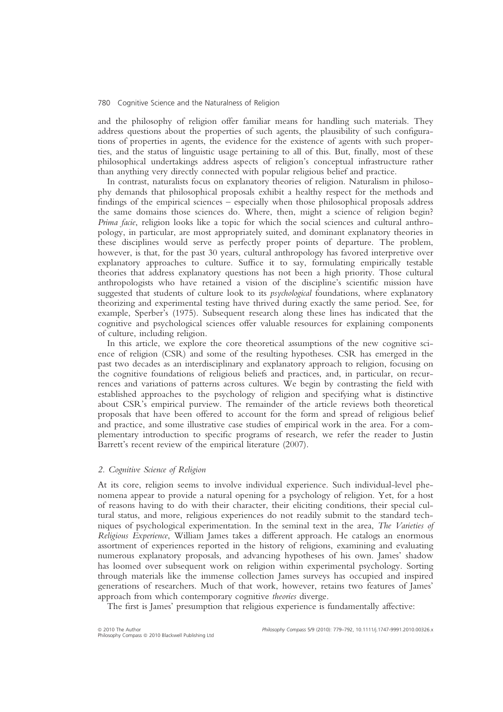and the philosophy of religion offer familiar means for handling such materials. They address questions about the properties of such agents, the plausibility of such configurations of properties in agents, the evidence for the existence of agents with such properties, and the status of linguistic usage pertaining to all of this. But, finally, most of these philosophical undertakings address aspects of religion's conceptual infrastructure rather than anything very directly connected with popular religious belief and practice.

In contrast, naturalists focus on explanatory theories of religion. Naturalism in philosophy demands that philosophical proposals exhibit a healthy respect for the methods and findings of the empirical sciences – especially when those philosophical proposals address the same domains those sciences do. Where, then, might a science of religion begin? Prima facie, religion looks like a topic for which the social sciences and cultural anthropology, in particular, are most appropriately suited, and dominant explanatory theories in these disciplines would serve as perfectly proper points of departure. The problem, however, is that, for the past 30 years, cultural anthropology has favored interpretive over explanatory approaches to culture. Suffice it to say, formulating empirically testable theories that address explanatory questions has not been a high priority. Those cultural anthropologists who have retained a vision of the discipline's scientific mission have suggested that students of culture look to its psychological foundations, where explanatory theorizing and experimental testing have thrived during exactly the same period. See, for example, Sperber's (1975). Subsequent research along these lines has indicated that the cognitive and psychological sciences offer valuable resources for explaining components of culture, including religion.

In this article, we explore the core theoretical assumptions of the new cognitive science of religion (CSR) and some of the resulting hypotheses. CSR has emerged in the past two decades as an interdisciplinary and explanatory approach to religion, focusing on the cognitive foundations of religious beliefs and practices, and, in particular, on recurrences and variations of patterns across cultures. We begin by contrasting the field with established approaches to the psychology of religion and specifying what is distinctive about CSR's empirical purview. The remainder of the article reviews both theoretical proposals that have been offered to account for the form and spread of religious belief and practice, and some illustrative case studies of empirical work in the area. For a complementary introduction to specific programs of research, we refer the reader to Justin Barrett's recent review of the empirical literature (2007).

## 2. Cognitive Science of Religion

At its core, religion seems to involve individual experience. Such individual-level phenomena appear to provide a natural opening for a psychology of religion. Yet, for a host of reasons having to do with their character, their eliciting conditions, their special cultural status, and more, religious experiences do not readily submit to the standard techniques of psychological experimentation. In the seminal text in the area, The Varieties of Religious Experience, William James takes a different approach. He catalogs an enormous assortment of experiences reported in the history of religions, examining and evaluating numerous explanatory proposals, and advancing hypotheses of his own. James' shadow has loomed over subsequent work on religion within experimental psychology. Sorting through materials like the immense collection James surveys has occupied and inspired generations of researchers. Much of that work, however, retains two features of James' approach from which contemporary cognitive theories diverge.

The first is James' presumption that religious experience is fundamentally affective: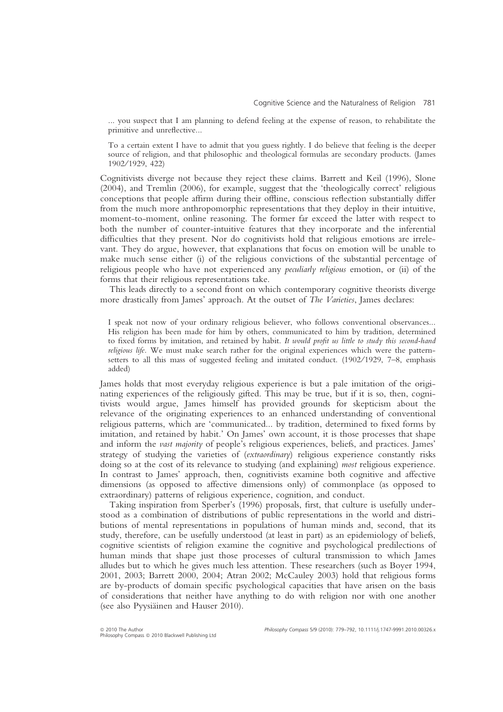... you suspect that I am planning to defend feeling at the expense of reason, to rehabilitate the primitive and unreflective...

To a certain extent I have to admit that you guess rightly. I do believe that feeling is the deeper source of religion, and that philosophic and theological formulas are secondary products. (James 1902 ⁄ 1929, 422)

Cognitivists diverge not because they reject these claims. Barrett and Keil (1996), Slone (2004), and Tremlin (2006), for example, suggest that the 'theologically correct' religious conceptions that people affirm during their offline, conscious reflection substantially differ from the much more anthropomorphic representations that they deploy in their intuitive, moment-to-moment, online reasoning. The former far exceed the latter with respect to both the number of counter-intuitive features that they incorporate and the inferential difficulties that they present. Nor do cognitivists hold that religious emotions are irrelevant. They do argue, however, that explanations that focus on emotion will be unable to make much sense either (i) of the religious convictions of the substantial percentage of religious people who have not experienced any peculiarly religious emotion, or (ii) of the forms that their religious representations take.

This leads directly to a second front on which contemporary cognitive theorists diverge more drastically from James' approach. At the outset of *The Varieties*, James declares:

I speak not now of your ordinary religious believer, who follows conventional observances... His religion has been made for him by others, communicated to him by tradition, determined to fixed forms by imitation, and retained by habit. It would profit us little to study this second-hand religious life. We must make search rather for the original experiences which were the patternsetters to all this mass of suggested feeling and imitated conduct. (1902/1929, 7–8, emphasis added)

James holds that most everyday religious experience is but a pale imitation of the originating experiences of the religiously gifted. This may be true, but if it is so, then, cognitivists would argue, James himself has provided grounds for skepticism about the relevance of the originating experiences to an enhanced understanding of conventional religious patterns, which are 'communicated... by tradition, determined to fixed forms by imitation, and retained by habit.' On James' own account, it is those processes that shape and inform the vast majority of people's religious experiences, beliefs, and practices. James' strategy of studying the varieties of (extraordinary) religious experience constantly risks doing so at the cost of its relevance to studying (and explaining) *most* religious experience. In contrast to James' approach, then, cognitivists examine both cognitive and affective dimensions (as opposed to affective dimensions only) of commonplace (as opposed to extraordinary) patterns of religious experience, cognition, and conduct.

Taking inspiration from Sperber's (1996) proposals, first, that culture is usefully understood as a combination of distributions of public representations in the world and distributions of mental representations in populations of human minds and, second, that its study, therefore, can be usefully understood (at least in part) as an epidemiology of beliefs, cognitive scientists of religion examine the cognitive and psychological predilections of human minds that shape just those processes of cultural transmission to which James alludes but to which he gives much less attention. These researchers (such as Boyer 1994, 2001, 2003; Barrett 2000, 2004; Atran 2002; McCauley 2003) hold that religious forms are by-products of domain specific psychological capacities that have arisen on the basis of considerations that neither have anything to do with religion nor with one another (see also Pyysiäinen and Hauser 2010).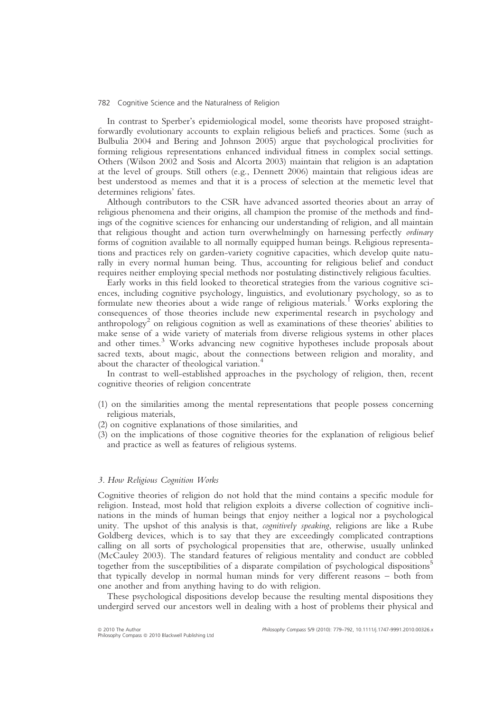In contrast to Sperber's epidemiological model, some theorists have proposed straightforwardly evolutionary accounts to explain religious beliefs and practices. Some (such as Bulbulia 2004 and Bering and Johnson 2005) argue that psychological proclivities for forming religious representations enhanced individual fitness in complex social settings. Others (Wilson 2002 and Sosis and Alcorta 2003) maintain that religion is an adaptation at the level of groups. Still others (e.g., Dennett 2006) maintain that religious ideas are best understood as memes and that it is a process of selection at the memetic level that determines religions' fates.

Although contributors to the CSR have advanced assorted theories about an array of religious phenomena and their origins, all champion the promise of the methods and findings of the cognitive sciences for enhancing our understanding of religion, and all maintain that religious thought and action turn overwhelmingly on harnessing perfectly ordinary forms of cognition available to all normally equipped human beings. Religious representations and practices rely on garden-variety cognitive capacities, which develop quite naturally in every normal human being. Thus, accounting for religious belief and conduct requires neither employing special methods nor postulating distinctively religious faculties.

Early works in this field looked to theoretical strategies from the various cognitive sciences, including cognitive psychology, linguistics, and evolutionary psychology, so as to formulate new theories about a wide range of religious materials.<sup>1</sup> Works exploring the consequences of those theories include new experimental research in psychology and anthropology<sup>2</sup> on religious cognition as well as examinations of these theories' abilities to make sense of a wide variety of materials from diverse religious systems in other places and other times.<sup>3</sup> Works advancing new cognitive hypotheses include proposals about sacred texts, about magic, about the connections between religion and morality, and about the character of theological variation.<sup>4</sup>

In contrast to well-established approaches in the psychology of religion, then, recent cognitive theories of religion concentrate

- (1) on the similarities among the mental representations that people possess concerning religious materials,
- (2) on cognitive explanations of those similarities, and
- (3) on the implications of those cognitive theories for the explanation of religious belief and practice as well as features of religious systems.

## 3. How Religious Cognition Works

Cognitive theories of religion do not hold that the mind contains a specific module for religion. Instead, most hold that religion exploits a diverse collection of cognitive inclinations in the minds of human beings that enjoy neither a logical nor a psychological unity. The upshot of this analysis is that, *cognitively speaking*, religions are like a Rube Goldberg devices, which is to say that they are exceedingly complicated contraptions calling on all sorts of psychological propensities that are, otherwise, usually unlinked (McCauley 2003). The standard features of religious mentality and conduct are cobbled together from the susceptibilities of a disparate compilation of psychological dispositions<sup>5</sup> that typically develop in normal human minds for very different reasons – both from one another and from anything having to do with religion.

These psychological dispositions develop because the resulting mental dispositions they undergird served our ancestors well in dealing with a host of problems their physical and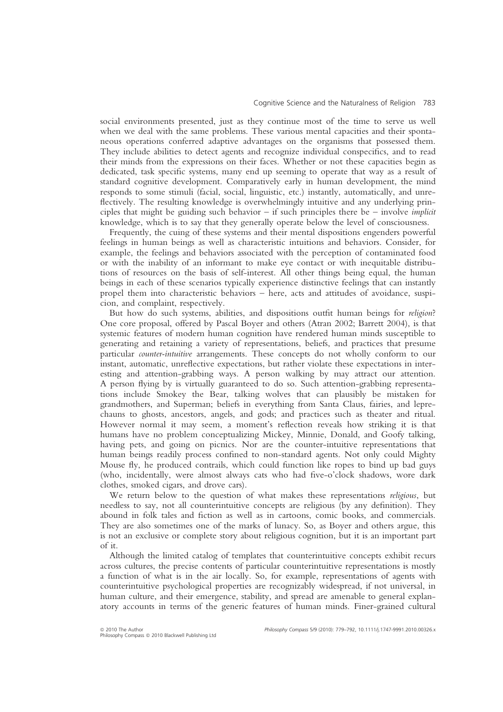social environments presented, just as they continue most of the time to serve us well when we deal with the same problems. These various mental capacities and their spontaneous operations conferred adaptive advantages on the organisms that possessed them. They include abilities to detect agents and recognize individual conspecifics, and to read their minds from the expressions on their faces. Whether or not these capacities begin as dedicated, task specific systems, many end up seeming to operate that way as a result of standard cognitive development. Comparatively early in human development, the mind responds to some stimuli (facial, social, linguistic, etc.) instantly, automatically, and unreflectively. The resulting knowledge is overwhelmingly intuitive and any underlying principles that might be guiding such behavior  $-$  if such principles there be  $-$  involve *implicit* knowledge, which is to say that they generally operate below the level of consciousness.

Frequently, the cuing of these systems and their mental dispositions engenders powerful feelings in human beings as well as characteristic intuitions and behaviors. Consider, for example, the feelings and behaviors associated with the perception of contaminated food or with the inability of an informant to make eye contact or with inequitable distributions of resources on the basis of self-interest. All other things being equal, the human beings in each of these scenarios typically experience distinctive feelings that can instantly propel them into characteristic behaviors – here, acts and attitudes of avoidance, suspicion, and complaint, respectively.

But how do such systems, abilities, and dispositions outfit human beings for religion? One core proposal, offered by Pascal Boyer and others (Atran 2002; Barrett 2004), is that systemic features of modern human cognition have rendered human minds susceptible to generating and retaining a variety of representations, beliefs, and practices that presume particular counter-intuitive arrangements. These concepts do not wholly conform to our instant, automatic, unreflective expectations, but rather violate these expectations in interesting and attention-grabbing ways. A person walking by may attract our attention. A person flying by is virtually guaranteed to do so. Such attention-grabbing representations include Smokey the Bear, talking wolves that can plausibly be mistaken for grandmothers, and Superman; beliefs in everything from Santa Claus, fairies, and leprechauns to ghosts, ancestors, angels, and gods; and practices such as theater and ritual. However normal it may seem, a moment's reflection reveals how striking it is that humans have no problem conceptualizing Mickey, Minnie, Donald, and Goofy talking, having pets, and going on picnics. Nor are the counter-intuitive representations that human beings readily process confined to non-standard agents. Not only could Mighty Mouse fly, he produced contrails, which could function like ropes to bind up bad guys (who, incidentally, were almost always cats who had five-o'clock shadows, wore dark clothes, smoked cigars, and drove cars).

We return below to the question of what makes these representations religious, but needless to say, not all counterintuitive concepts are religious (by any definition). They abound in folk tales and fiction as well as in cartoons, comic books, and commercials. They are also sometimes one of the marks of lunacy. So, as Boyer and others argue, this is not an exclusive or complete story about religious cognition, but it is an important part of it.

Although the limited catalog of templates that counterintuitive concepts exhibit recurs across cultures, the precise contents of particular counterintuitive representations is mostly a function of what is in the air locally. So, for example, representations of agents with counterintuitive psychological properties are recognizably widespread, if not universal, in human culture, and their emergence, stability, and spread are amenable to general explanatory accounts in terms of the generic features of human minds. Finer-grained cultural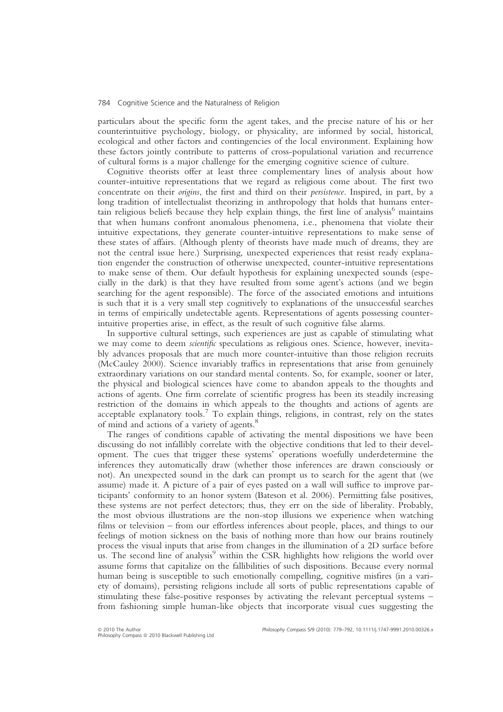particulars about the specific form the agent takes, and the precise nature of his or her counterintuitive psychology, biology, or physicality, are informed by social, historical, ecological and other factors and contingencies of the local environment. Explaining how these factors jointly contribute to patterns of cross-populational variation and recurrence of cultural forms is a major challenge for the emerging cognitive science of culture.

Cognitive theorists offer at least three complementary lines of analysis about how counter-intuitive representations that we regard as religious come about. The first two concentrate on their origins, the first and third on their persistence. Inspired, in part, by a long tradition of intellectualist theorizing in anthropology that holds that humans entertain religious beliefs because they help explain things, the first line of analysis<sup>6</sup> maintains that when humans confront anomalous phenomena, i.e., phenomena that violate their intuitive expectations, they generate counter-intuitive representations to make sense of these states of affairs. (Although plenty of theorists have made much of dreams, they are not the central issue here.) Surprising, unexpected experiences that resist ready explanation engender the construction of otherwise unexpected, counter-intuitive representations to make sense of them. Our default hypothesis for explaining unexpected sounds (especially in the dark) is that they have resulted from some agent's actions (and we begin searching for the agent responsible). The force of the associated emotions and intuitions is such that it is a very small step cognitively to explanations of the unsuccessful searches in terms of empirically undetectable agents. Representations of agents possessing counterintuitive properties arise, in effect, as the result of such cognitive false alarms.

In supportive cultural settings, such experiences are just as capable of stimulating what we may come to deem *scientific* speculations as religious ones. Science, however, inevitably advances proposals that are much more counter-intuitive than those religion recruits (McCauley 2000). Science invariably traffics in representations that arise from genuinely extraordinary variations on our standard mental contents. So, for example, sooner or later, the physical and biological sciences have come to abandon appeals to the thoughts and actions of agents. One firm correlate of scientific progress has been its steadily increasing restriction of the domains in which appeals to the thoughts and actions of agents are acceptable explanatory tools.<sup>7</sup> To explain things, religions, in contrast, rely on the states of mind and actions of a variety of agents.<sup>8</sup>

The ranges of conditions capable of activating the mental dispositions we have been discussing do not infallibly correlate with the objective conditions that led to their development. The cues that trigger these systems' operations woefully underdetermine the inferences they automatically draw (whether those inferences are drawn consciously or not). An unexpected sound in the dark can prompt us to search for the agent that (we assume) made it. A picture of a pair of eyes pasted on a wall will suffice to improve participants' conformity to an honor system (Bateson et al. 2006). Permitting false positives, these systems are not perfect detectors; thus, they err on the side of liberality. Probably, the most obvious illustrations are the non-stop illusions we experience when watching films or television – from our effortless inferences about people, places, and things to our feelings of motion sickness on the basis of nothing more than how our brains routinely process the visual inputs that arise from changes in the illumination of a 2D surface before us. The second line of analysis<sup>9</sup> within the CSR highlights how religions the world over assume forms that capitalize on the fallibilities of such dispositions. Because every normal human being is susceptible to such emotionally compelling, cognitive misfires (in a variety of domains), persisting religions include all sorts of public representations capable of stimulating these false-positive responses by activating the relevant perceptual systems – from fashioning simple human-like objects that incorporate visual cues suggesting the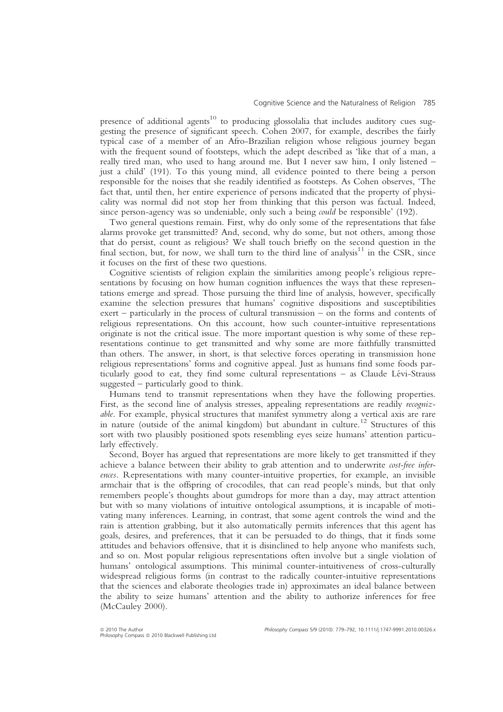presence of additional agents<sup>10</sup> to producing glossolalia that includes auditory cues suggesting the presence of significant speech. Cohen 2007, for example, describes the fairly typical case of a member of an Afro-Brazilian religion whose religious journey began with the frequent sound of footsteps, which the adept described as 'like that of a man, a really tired man, who used to hang around me. But I never saw him, I only listened – just a child' (191). To this young mind, all evidence pointed to there being a person responsible for the noises that she readily identified as footsteps. As Cohen observes, 'The fact that, until then, her entire experience of persons indicated that the property of physicality was normal did not stop her from thinking that this person was factual. Indeed, since person-agency was so undeniable, only such a being could be responsible' (192).

Two general questions remain. First, why do only some of the representations that false alarms provoke get transmitted? And, second, why do some, but not others, among those that do persist, count as religious? We shall touch briefly on the second question in the final section, but, for now, we shall turn to the third line of analysis<sup>11</sup> in the CSR, since it focuses on the first of these two questions.

Cognitive scientists of religion explain the similarities among people's religious representations by focusing on how human cognition influences the ways that these representations emerge and spread. Those pursuing the third line of analysis, however, specifically examine the selection pressures that humans' cognitive dispositions and susceptibilities exert – particularly in the process of cultural transmission – on the forms and contents of religious representations. On this account, how such counter-intuitive representations originate is not the critical issue. The more important question is why some of these representations continue to get transmitted and why some are more faithfully transmitted than others. The answer, in short, is that selective forces operating in transmission hone religious representations' forms and cognitive appeal. Just as humans find some foods particularly good to eat, they find some cultural representations - as Claude Lévi-Strauss suggested – particularly good to think.

Humans tend to transmit representations when they have the following properties. First, as the second line of analysis stresses, appealing representations are readily *recogniz*able. For example, physical structures that manifest symmetry along a vertical axis are rare in nature (outside of the animal kingdom) but abundant in culture.<sup>12</sup> Structures of this sort with two plausibly positioned spots resembling eyes seize humans' attention particularly effectively.

Second, Boyer has argued that representations are more likely to get transmitted if they achieve a balance between their ability to grab attention and to underwrite *cost-free infer*ences. Representations with many counter-intuitive properties, for example, an invisible armchair that is the offspring of crocodiles, that can read people's minds, but that only remembers people's thoughts about gumdrops for more than a day, may attract attention but with so many violations of intuitive ontological assumptions, it is incapable of motivating many inferences. Learning, in contrast, that some agent controls the wind and the rain is attention grabbing, but it also automatically permits inferences that this agent has goals, desires, and preferences, that it can be persuaded to do things, that it finds some attitudes and behaviors offensive, that it is disinclined to help anyone who manifests such, and so on. Most popular religious representations often involve but a single violation of humans' ontological assumptions. This minimal counter-intuitiveness of cross-culturally widespread religious forms (in contrast to the radically counter-intuitive representations that the sciences and elaborate theologies trade in) approximates an ideal balance between the ability to seize humans' attention and the ability to authorize inferences for free (McCauley 2000).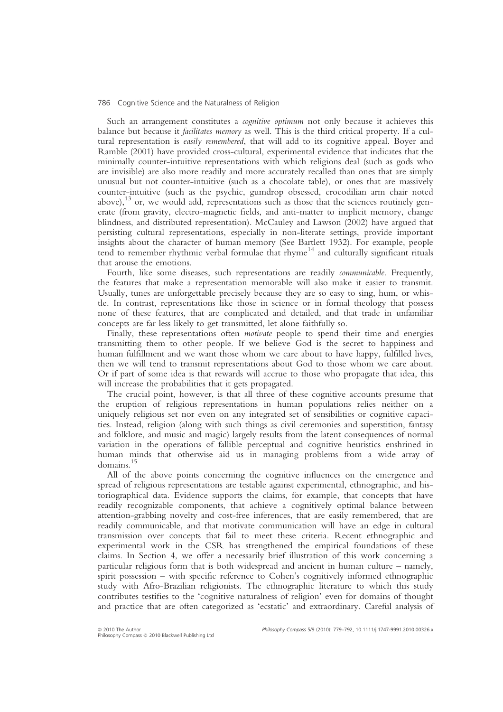Such an arrangement constitutes a *cognitive optimum* not only because it achieves this balance but because it facilitates memory as well. This is the third critical property. If a cultural representation is *easily remembered*, that will add to its cognitive appeal. Boyer and Ramble (2001) have provided cross-cultural, experimental evidence that indicates that the minimally counter-intuitive representations with which religions deal (such as gods who are invisible) are also more readily and more accurately recalled than ones that are simply unusual but not counter-intuitive (such as a chocolate table), or ones that are massively counter-intuitive (such as the psychic, gumdrop obsessed, crocodilian arm chair noted above), $^{13}$  or, we would add, representations such as those that the sciences routinely generate (from gravity, electro-magnetic fields, and anti-matter to implicit memory, change blindness, and distributed representation). McCauley and Lawson (2002) have argued that persisting cultural representations, especially in non-literate settings, provide important insights about the character of human memory (See Bartlett 1932). For example, people tend to remember rhythmic verbal formulae that  $r$ hyme $14$  and culturally significant rituals that arouse the emotions.

Fourth, like some diseases, such representations are readily communicable. Frequently, the features that make a representation memorable will also make it easier to transmit. Usually, tunes are unforgettable precisely because they are so easy to sing, hum, or whistle. In contrast, representations like those in science or in formal theology that possess none of these features, that are complicated and detailed, and that trade in unfamiliar concepts are far less likely to get transmitted, let alone faithfully so.

Finally, these representations often motivate people to spend their time and energies transmitting them to other people. If we believe God is the secret to happiness and human fulfillment and we want those whom we care about to have happy, fulfilled lives, then we will tend to transmit representations about God to those whom we care about. Or if part of some idea is that rewards will accrue to those who propagate that idea, this will increase the probabilities that it gets propagated.

The crucial point, however, is that all three of these cognitive accounts presume that the eruption of religious representations in human populations relies neither on a uniquely religious set nor even on any integrated set of sensibilities or cognitive capacities. Instead, religion (along with such things as civil ceremonies and superstition, fantasy and folklore, and music and magic) largely results from the latent consequences of normal variation in the operations of fallible perceptual and cognitive heuristics enshrined in human minds that otherwise aid us in managing problems from a wide array of domains.<sup>15</sup>

All of the above points concerning the cognitive influences on the emergence and spread of religious representations are testable against experimental, ethnographic, and historiographical data. Evidence supports the claims, for example, that concepts that have readily recognizable components, that achieve a cognitively optimal balance between attention-grabbing novelty and cost-free inferences, that are easily remembered, that are readily communicable, and that motivate communication will have an edge in cultural transmission over concepts that fail to meet these criteria. Recent ethnographic and experimental work in the CSR has strengthened the empirical foundations of these claims. In Section 4, we offer a necessarily brief illustration of this work concerning a particular religious form that is both widespread and ancient in human culture – namely, spirit possession – with specific reference to Cohen's cognitively informed ethnographic study with Afro-Brazilian religionists. The ethnographic literature to which this study contributes testifies to the 'cognitive naturalness of religion' even for domains of thought and practice that are often categorized as 'ecstatic' and extraordinary. Careful analysis of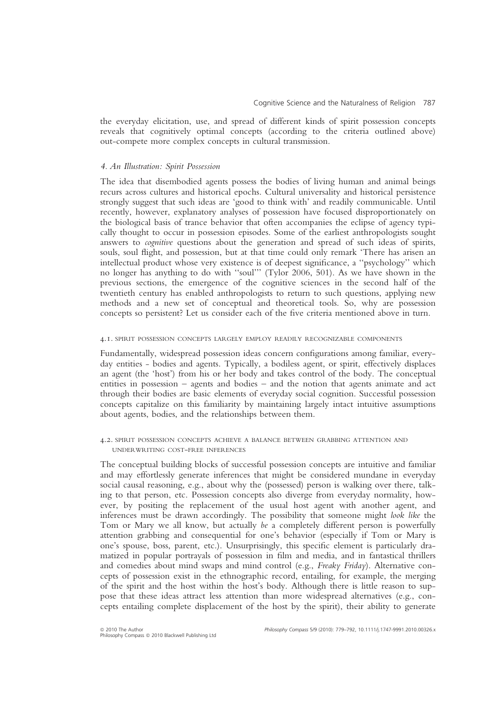the everyday elicitation, use, and spread of different kinds of spirit possession concepts reveals that cognitively optimal concepts (according to the criteria outlined above) out-compete more complex concepts in cultural transmission.

## 4. An Illustration: Spirit Possession

The idea that disembodied agents possess the bodies of living human and animal beings recurs across cultures and historical epochs. Cultural universality and historical persistence strongly suggest that such ideas are 'good to think with' and readily communicable. Until recently, however, explanatory analyses of possession have focused disproportionately on the biological basis of trance behavior that often accompanies the eclipse of agency typically thought to occur in possession episodes. Some of the earliest anthropologists sought answers to cognitive questions about the generation and spread of such ideas of spirits, souls, soul flight, and possession, but at that time could only remark 'There has arisen an intellectual product whose very existence is of deepest significance, a ''psychology'' which no longer has anything to do with ''soul''' (Tylor 2006, 501). As we have shown in the previous sections, the emergence of the cognitive sciences in the second half of the twentieth century has enabled anthropologists to return to such questions, applying new methods and a new set of conceptual and theoretical tools. So, why are possession concepts so persistent? Let us consider each of the five criteria mentioned above in turn.

## 4.1. SPIRIT POSSESSION CONCEPTS LARGELY EMPLOY READILY RECOGNIZABLE COMPONENTS

Fundamentally, widespread possession ideas concern configurations among familiar, everyday entities - bodies and agents. Typically, a bodiless agent, or spirit, effectively displaces an agent (the 'host') from his or her body and takes control of the body. The conceptual entities in possession – agents and bodies – and the notion that agents animate and act through their bodies are basic elements of everyday social cognition. Successful possession concepts capitalize on this familiarity by maintaining largely intact intuitive assumptions about agents, bodies, and the relationships between them.

## 4.2. SPIRIT POSSESSION CONCEPTS ACHIEVE A BALANCE BETWEEN GRABBING ATTENTION AND UNDERWRITING COST-FREE INFERENCES

The conceptual building blocks of successful possession concepts are intuitive and familiar and may effortlessly generate inferences that might be considered mundane in everyday social causal reasoning, e.g., about why the (possessed) person is walking over there, talking to that person, etc. Possession concepts also diverge from everyday normality, however, by positing the replacement of the usual host agent with another agent, and inferences must be drawn accordingly. The possibility that someone might look like the Tom or Mary we all know, but actually be a completely different person is powerfully attention grabbing and consequential for one's behavior (especially if Tom or Mary is one's spouse, boss, parent, etc.). Unsurprisingly, this specific element is particularly dramatized in popular portrayals of possession in film and media, and in fantastical thrillers and comedies about mind swaps and mind control (e.g., Freaky Friday). Alternative concepts of possession exist in the ethnographic record, entailing, for example, the merging of the spirit and the host within the host's body. Although there is little reason to suppose that these ideas attract less attention than more widespread alternatives (e.g., concepts entailing complete displacement of the host by the spirit), their ability to generate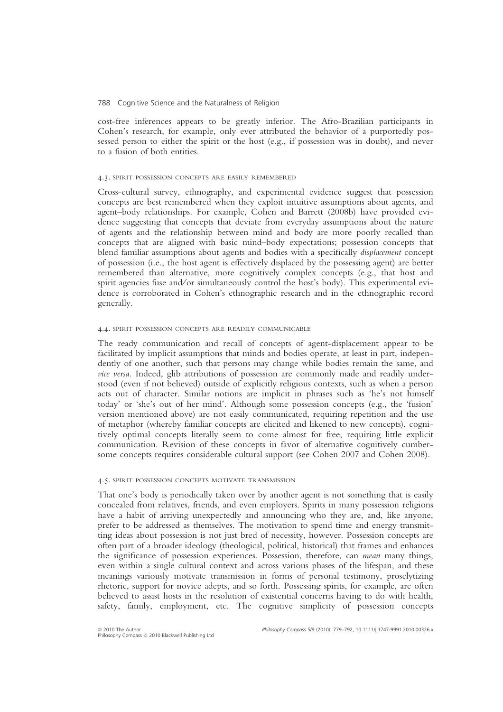cost-free inferences appears to be greatly inferior. The Afro-Brazilian participants in Cohen's research, for example, only ever attributed the behavior of a purportedly possessed person to either the spirit or the host (e.g., if possession was in doubt), and never to a fusion of both entities.

#### 4.3. SPIRIT POSSESSION CONCEPTS ARE EASILY REMEMBERED

Cross-cultural survey, ethnography, and experimental evidence suggest that possession concepts are best remembered when they exploit intuitive assumptions about agents, and agent–body relationships. For example, Cohen and Barrett (2008b) have provided evidence suggesting that concepts that deviate from everyday assumptions about the nature of agents and the relationship between mind and body are more poorly recalled than concepts that are aligned with basic mind–body expectations; possession concepts that blend familiar assumptions about agents and bodies with a specifically displacement concept of possession (i.e., the host agent is effectively displaced by the possessing agent) are better remembered than alternative, more cognitively complex concepts (e.g., that host and spirit agencies fuse and/or simultaneously control the host's body). This experimental evidence is corroborated in Cohen's ethnographic research and in the ethnographic record generally.

#### 4.4. SPIRIT POSSESSION CONCEPTS ARE READILY COMMUNICABLE

The ready communication and recall of concepts of agent-displacement appear to be facilitated by implicit assumptions that minds and bodies operate, at least in part, independently of one another, such that persons may change while bodies remain the same, and vice versa. Indeed, glib attributions of possession are commonly made and readily understood (even if not believed) outside of explicitly religious contexts, such as when a person acts out of character. Similar notions are implicit in phrases such as 'he's not himself today' or 'she's out of her mind'. Although some possession concepts (e.g., the 'fusion' version mentioned above) are not easily communicated, requiring repetition and the use of metaphor (whereby familiar concepts are elicited and likened to new concepts), cognitively optimal concepts literally seem to come almost for free, requiring little explicit communication. Revision of these concepts in favor of alternative cognitively cumbersome concepts requires considerable cultural support (see Cohen 2007 and Cohen 2008).

## 4.5. SPIRIT POSSESSION CONCEPTS MOTIVATE TRANSMISSION

That one's body is periodically taken over by another agent is not something that is easily concealed from relatives, friends, and even employers. Spirits in many possession religions have a habit of arriving unexpectedly and announcing who they are, and, like anyone, prefer to be addressed as themselves. The motivation to spend time and energy transmitting ideas about possession is not just bred of necessity, however. Possession concepts are often part of a broader ideology (theological, political, historical) that frames and enhances the significance of possession experiences. Possession, therefore, can mean many things, even within a single cultural context and across various phases of the lifespan, and these meanings variously motivate transmission in forms of personal testimony, proselytizing rhetoric, support for novice adepts, and so forth. Possessing spirits, for example, are often believed to assist hosts in the resolution of existential concerns having to do with health, safety, family, employment, etc. The cognitive simplicity of possession concepts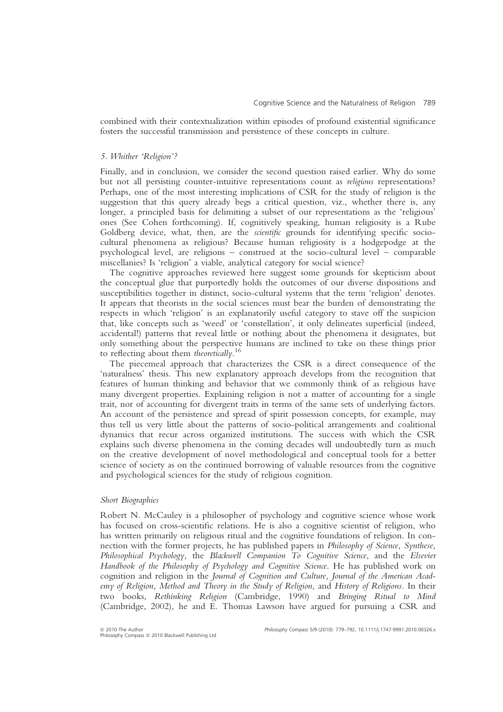combined with their contextualization within episodes of profound existential significance fosters the successful transmission and persistence of these concepts in culture.

## 5. Whither 'Religion'?

Finally, and in conclusion, we consider the second question raised earlier. Why do some but not all persisting counter-intuitive representations count as religious representations? Perhaps, one of the most interesting implications of CSR for the study of religion is the suggestion that this query already begs a critical question, viz., whether there is, any longer, a principled basis for delimiting a subset of our representations as the 'religious' ones (See Cohen forthcoming). If, cognitively speaking, human religiosity is a Rube Goldberg device, what, then, are the *scientific* grounds for identifying specific sociocultural phenomena as religious? Because human religiosity is a hodgepodge at the psychological level, are religions – construed at the socio-cultural level – comparable miscellanies? Is 'religion' a viable, analytical category for social science?

The cognitive approaches reviewed here suggest some grounds for skepticism about the conceptual glue that purportedly holds the outcomes of our diverse dispositions and susceptibilities together in distinct, socio-cultural systems that the term 'religion' denotes. It appears that theorists in the social sciences must bear the burden of demonstrating the respects in which 'religion' is an explanatorily useful category to stave off the suspicion that, like concepts such as 'weed' or 'constellation', it only delineates superficial (indeed, accidental!) patterns that reveal little or nothing about the phenomena it designates, but only something about the perspective humans are inclined to take on these things prior to reflecting about them theoretically.<sup>16</sup>

The piecemeal approach that characterizes the CSR is a direct consequence of the 'naturalness' thesis. This new explanatory approach develops from the recognition that features of human thinking and behavior that we commonly think of as religious have many divergent properties. Explaining religion is not a matter of accounting for a single trait, nor of accounting for divergent traits in terms of the same sets of underlying factors. An account of the persistence and spread of spirit possession concepts, for example, may thus tell us very little about the patterns of socio-political arrangements and coalitional dynamics that recur across organized institutions. The success with which the CSR explains such diverse phenomena in the coming decades will undoubtedly turn as much on the creative development of novel methodological and conceptual tools for a better science of society as on the continued borrowing of valuable resources from the cognitive and psychological sciences for the study of religious cognition.

## Short Biographies

Robert N. McCauley is a philosopher of psychology and cognitive science whose work has focused on cross-scientific relations. He is also a cognitive scientist of religion, who has written primarily on religious ritual and the cognitive foundations of religion. In connection with the former projects, he has published papers in *Philosophy of Science*, *Synthese*, Philosophical Psychology, the Blackwell Companion To Cognitive Science, and the Elsevier Handbook of the Philosophy of Psychology and Cognitive Science. He has published work on cognition and religion in the Journal of Cognition and Culture, Journal of the American Academy of Religion, Method and Theory in the Study of Religion, and History of Religions. In their two books, Rethinking Religion (Cambridge, 1990) and Bringing Ritual to Mind (Cambridge, 2002), he and E. Thomas Lawson have argued for pursuing a CSR and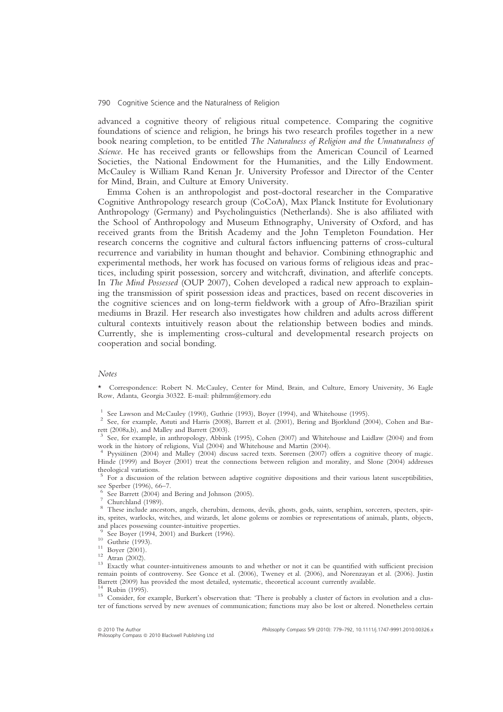advanced a cognitive theory of religious ritual competence. Comparing the cognitive foundations of science and religion, he brings his two research profiles together in a new book nearing completion, to be entitled The Naturalness of Religion and the Unnaturalness of Science. He has received grants or fellowships from the American Council of Learned Societies, the National Endowment for the Humanities, and the Lilly Endowment. McCauley is William Rand Kenan Jr. University Professor and Director of the Center for Mind, Brain, and Culture at Emory University.

Emma Cohen is an anthropologist and post-doctoral researcher in the Comparative Cognitive Anthropology research group (CoCoA), Max Planck Institute for Evolutionary Anthropology (Germany) and Psycholinguistics (Netherlands). She is also affiliated with the School of Anthropology and Museum Ethnography, University of Oxford, and has received grants from the British Academy and the John Templeton Foundation. Her research concerns the cognitive and cultural factors influencing patterns of cross-cultural recurrence and variability in human thought and behavior. Combining ethnographic and experimental methods, her work has focused on various forms of religious ideas and practices, including spirit possession, sorcery and witchcraft, divination, and afterlife concepts. In The Mind Possessed (OUP 2007), Cohen developed a radical new approach to explaining the transmission of spirit possession ideas and practices, based on recent discoveries in the cognitive sciences and on long-term fieldwork with a group of Afro-Brazilian spirit mediums in Brazil. Her research also investigates how children and adults across different cultural contexts intuitively reason about the relationship between bodies and minds. Currently, she is implementing cross-cultural and developmental research projects on cooperation and social bonding.

## Notes

\* Correspondence: Robert N. McCauley, Center for Mind, Brain, and Culture, Emory University, 36 Eagle Row, Atlanta, Georgia 30322. E-mail: philrnm@emory.edu

<sup>1</sup> See Lawson and McCauley (1990), Guthrie (1993), Boyer (1994), and Whitehouse (1995).<br><sup>2</sup> See, for example, Astuti and Harris (2008), Barrett et al. (2001), Bering and Bjorklund (2004), Cohen and Barrett (2008a,b), and Malley and Barrett (2003).

<sup>3</sup> See, for example, in anthropology, Abbink (1995), Cohen (2007) and Whitehouse and Laidlaw (2004) and from work in the history of religions, Vial (2004) and Whitehouse and Martin (2004).

Pyysiaïnen (2004) and Malley (2004) discuss sacred texts. Sørensen (2007) offers a cognitive theory of magic. Hinde (1999) and Boyer (2001) treat the connections between religion and morality, and Slone (2004) addresses theological variations.

<sup>5</sup> For a discussion of the relation between adaptive cognitive dispositions and their various latent susceptibilities, see Sperber (1996), 66–7.<br><sup>6</sup> See Barrett (2004) and Bering and Johnson (2005).

 $\frac{8}{\text{6}}$  Churchland (1989).  $\frac{8}{\text{6}}$  See Barretts and See Bernson (2005). 8 These include ancestors, angels, cherubim, demons, devils, ghosts, gods, saints, seraphim, sorcerers, specters, spirits, sprites, warlocks, witches, and wizards, let alone golems or zombies or representations of animals, plants, objects, and places possessing counter-intuitive properties.

<sup>9</sup> See Boyer (1994, 2001) and Burkert (1996).<br><sup>10</sup> Guthrie (1993).<br><sup>11</sup> Boyer (2001).<br><sup>12</sup> Atran (2002).<br><sup>13</sup> Exactly what counter-intuitiveness amounts to and whether or not it can be quantified with sufficient precisio remain points of controversy. See Gonce et al. (2006), Tweney et al. (2006), and Norenzayan et al. (2006). Justin Barrett (2009) has provided the most detailed, systematic, theoretical account currently available.<br><sup>14</sup> Rubin (1995).

<sup>15</sup> Consider, for example, Burkert's observation that: 'There is probably a cluster of factors in evolution and a cluster of functions served by new avenues of communication; functions may also be lost or altered. Nonetheless certain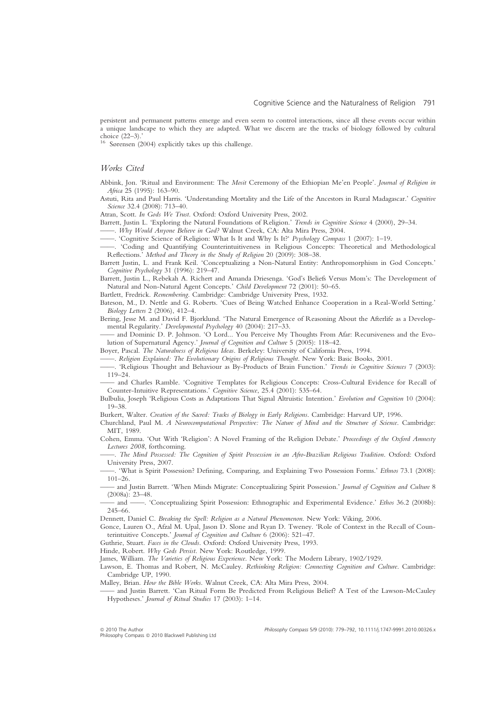persistent and permanent patterns emerge and even seem to control interactions, since all these events occur within a unique landscape to which they are adapted. What we discern are the tracks of biology followed by cultural  $choice (22–3).$ 

<sup>16</sup> Sørensen (2004) explicitly takes up this challenge.

Works Cited

Abbink, Jon. 'Ritual and Environment: The Mosit Ceremony of the Ethiopian Me'en People'. Journal of Religion in Africa 25 (1995): 163–90.

Astuti, Rita and Paul Harris. 'Understanding Mortality and the Life of the Ancestors in Rural Madagascar.' Cognitive Science 32.4 (2008): 713–40.

Atran, Scott. In Gods We Trust. Oxford: Oxford University Press, 2002.

Barrett, Justin L. 'Exploring the Natural Foundations of Religion.' Trends in Cognitive Science 4 (2000), 29–34.

——. Why Would Anyone Believe in God? Walnut Creek, CA: Alta Mira Press, 2004.

——. 'Cognitive Science of Religion: What Is It and Why Is It?' Psychology Compass 1 (2007): 1–19.

'Coding and Quantifying Counterintuitiveness in Religious Concepts: Theoretical and Methodological Reflections.' Method and Theory in the Study of Religion 20 (2009): 308–38.

Barrett Justin, L. and Frank Keil. 'Conceptualizing a Non-Natural Entity: Anthropomorphism in God Concepts.' Cognitive Psychology 31 (1996): 219–47.

Barrett, Justin L., Rebekah A. Richert and Amanda Driesenga. 'God's Beliefs Versus Mom's: The Development of Natural and Non-Natural Agent Concepts.' Child Development 72 (2001): 50–65.

Bartlett, Fredrick. Remembering. Cambridge: Cambridge University Press, 1932.

Bateson, M., D. Nettle and G. Roberts. 'Cues of Being Watched Enhance Cooperation in a Real-World Setting.' Biology Letters 2 (2006), 412–4.

Bering, Jesse M. and David F. Bjorklund. 'The Natural Emergence of Reasoning About the Afterlife as a Developmental Regularity.' Developmental Psychology 40 (2004): 217–33.

—— and Dominic D. P. Johnson. 'O Lord... You Perceive My Thoughts From Afar: Recursiveness and the Evolution of Supernatural Agency.' Journal of Cognition and Culture 5 (2005): 118–42.

Boyer, Pascal. The Naturalness of Religious Ideas. Berkeley: University of California Press, 1994.

——. Religion Explained: The Evolutionary Origins of Religious Thought. New York: Basic Books, 2001.

——. 'Religious Thought and Behaviour as By-Products of Brain Function.' Trends in Cognitive Sciences 7 (2003): 119–24.

—— and Charles Ramble. 'Cognitive Templates for Religious Concepts: Cross-Cultural Evidence for Recall of Counter-Intuitive Representations.' Cognitive Science, 25.4 (2001): 535–64.

Bulbulia, Joseph 'Religious Costs as Adaptations That Signal Altruistic Intention.' Evolution and Cognition 10 (2004): 19–38.

Burkert, Walter. Creation of the Sacred: Tracks of Biology in Early Religions. Cambridge: Harvard UP, 1996.

Churchland, Paul M. A Neurocomputational Perspective: The Nature of Mind and the Structure of Science. Cambridge: MIT, 1989.

Cohen, Emma. 'Out With 'Religion': A Novel Framing of the Religion Debate.' Proceedings of the Oxford Amnesty Lectures 2008, forthcoming.

——. The Mind Possessed: The Cognition of Spirit Possession in an Afro-Brazilian Religious Tradition. Oxford: Oxford University Press, 2007.

——. 'What is Spirit Possession? Defining, Comparing, and Explaining Two Possession Forms.' Ethnos 73.1 (2008): 101–26.

—— and Justin Barrett. 'When Minds Migrate: Conceptualizing Spirit Possession.' Journal of Cognition and Culture 8 (2008a): 23–48.

- and ——. 'Conceptualizing Spirit Possession: Ethnographic and Experimental Evidence.' Ethos 36.2 (2008b): 245–66.

Dennett, Daniel C. Breaking the Spell: Religion as a Natural Phenomenon. New York: Viking, 2006.

Gonce, Lauren O., Afzal M. Upal, Jason D. Slone and Ryan D. Tweney. 'Role of Context in the Recall of Counterintuitive Concepts.' Journal of Cognition and Culture 6 (2006): 521-47.

Guthrie, Stuart. Faces in the Clouds. Oxford: Oxford University Press, 1993.

Hinde, Robert. Why Gods Persist. New York: Routledge, 1999.

James, William. The Varieties of Religious Experience. New York: The Modern Library, 1902/1929.

Lawson, E. Thomas and Robert, N. McCauley. Rethinking Religion: Connecting Cognition and Culture. Cambridge: Cambridge UP, 1990.

Malley, Brian. How the Bible Works. Walnut Creek, CA: Alta Mira Press, 2004.

—— and Justin Barrett. 'Can Ritual Form Be Predicted From Religious Belief? A Test of the Lawson-McCauley Hypotheses.' Journal of Ritual Studies 17 (2003): 1–14.

ª 2010 The Author Philosophy Compass 5/9 (2010): 779–792, 10.1111/j.1747-9991.2010.00326.x